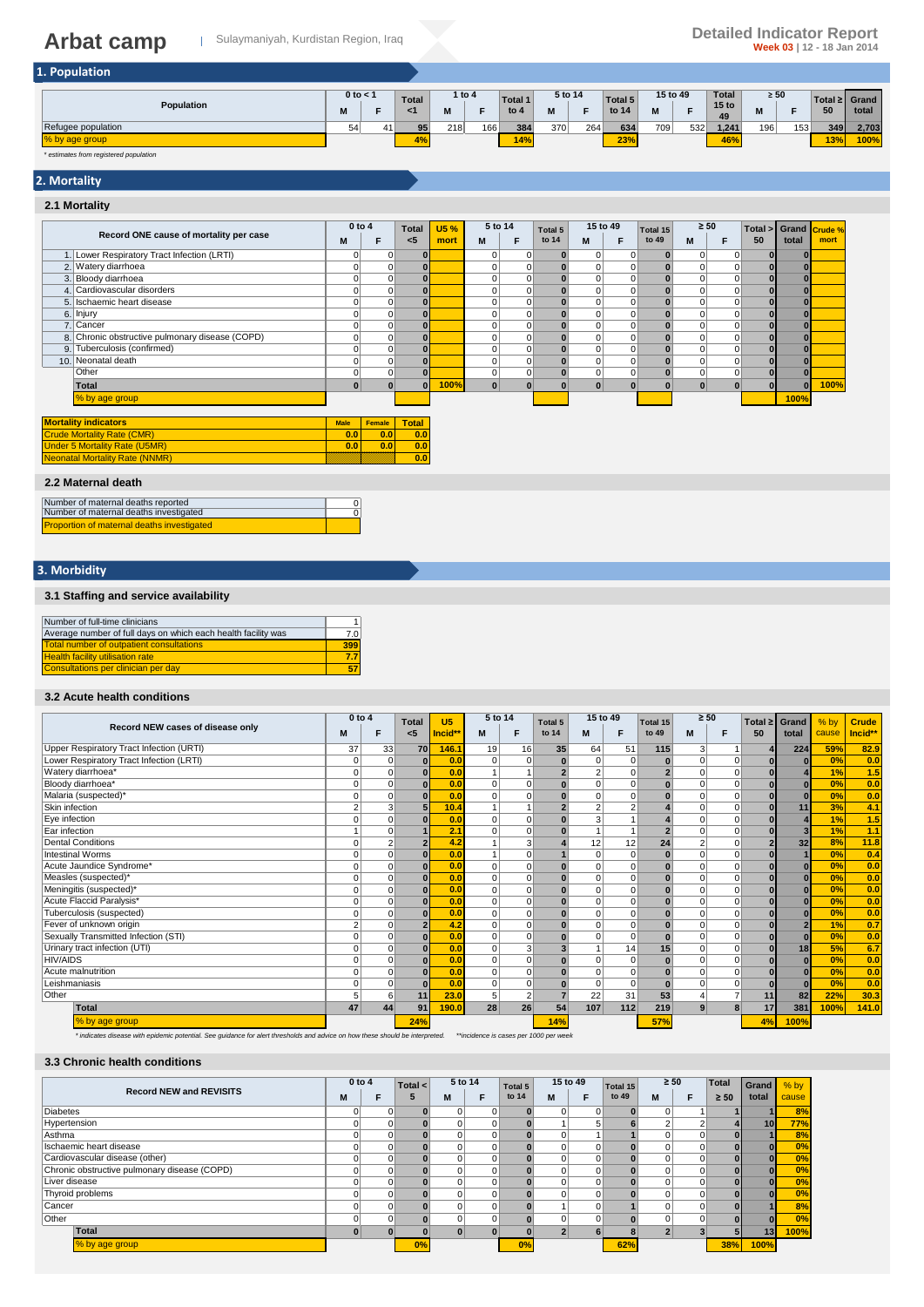| 1. Population |
|---------------|
|---------------|

| -------            |                            |                 |         |        |                          |         |     |                  |          |     |                                        |                  |     |     |                        |
|--------------------|----------------------------|-----------------|---------|--------|--------------------------|---------|-----|------------------|----------|-----|----------------------------------------|------------------|-----|-----|------------------------|
| Population         | $0$ to $\lt$<br><b>B.A</b> | <b>Total</b>    | <br>IVІ | 1 to 4 | <b>Total 1</b><br>to $4$ | 5 to 14 | -   | Total 5<br>to 14 | 15 to 49 |     | <b>Total</b><br>15 <sub>to</sub><br>49 | $\geq 50$<br>171 |     | 50  | Total ≥ Grand<br>total |
| Refugee population | 51                         | 95 <sub>1</sub> | 218     | 166    | 384                      | 370     | 264 | 634              | 709      | 532 | 1.241                                  | 196              | 153 | 349 | 2.703                  |
| % by age group     |                            | 4%              |         |        | 14%                      |         |     | 23%              |          |     | 46%                                    |                  |     | 13% | 100%                   |

*\* estimates from registered population*

**2. Mortality**

#### **2.1 Mortality M F M F M F M F** 1. 0 0 **0** #DIV/0! 0 0 **0** 0 0 **0** 0 0 **0 0** #DIV/0! Lower Respiratory Tract Infection (LRTI) 2.|Watery diarrhoea | 0 | 0 | 0 | 0 | 0 | 0 | 0 | 0 | 0 | 0 | 0 | 0 | 0 | 0 | 0 3. 0 0 **0** #DIV/0! 0 0 **0** 0 0 **0** 0 0 **0 0** #DIV/0! Bloody diarrhoea 4. | Cardiovascular disorders | 0 | 0 | 0 | 0 | 0 | 0 | 0 | 0 | 0 | 0 | 0 | 5. 0 0 **0** #DIV/0! 0 0 **0** 0 0 **0** 0 0 **0 0** #DIV/0! Ischaemic heart disease 6. 0 0 **0** #DIV/0! 0 0 **0** 0 0 **0** 0 0 **0 0** #DIV/0! 7. 0 0 **0** #DIV/0! 0 0 **0** 0 0 **0** 0 0 **0 0** #DIV/0! 8. 0 0 **0** #DIV/0! 0 0 **0** 0 0 **0** 0 0 **0 0** #DIV/0! Cancer Chronic obstructive pulmonary disease (COPD) 9. Tuberculosis (confirmed) | 0 | 0 | 0 | 0 | 0 | 0 | 0 | 0 | 0 | 0 | | 10. 0 0 **0** #DIV/0! 0 0 **0** 0 0 **0** 0 0 **0 0** #DIV/0! Neonatal death 0 0 **0** #DIV/0! 0 0 **0** 0 0 **0** 0 0 **0 0** #DIV/0! **Total 0 0 0 100% 0 0 0 0 0 0 0 0 0 0 100%** #DIV/0! #DIV/0! #DIV/0! #DIV/0! **100% Male Female Total 0.0 0.0 0.0 0.0 0.0 0.0 0.0 Total <5** 6. Injury 2. Watery diarrhoea **Record ONE cause of mortality per case 0 to 4 Crude % mort 15 %** 5 to 14 **Total 5** 15 to 49 **Total 15** ≥ 50<br> **15 to 14 M** F to 49 **M** N **mort Total > 50 Grand total Total 5 to 14 5 to 14** Other<br>Total % by age group ity ind **Mortality Rate (CMR** er 5 Mortality Rate (U Neonatal Mortality Rate (NNMR)

#### **2.2 Maternal death**

| Number of maternal deaths reported         |  |
|--------------------------------------------|--|
| Number of maternal deaths investigated     |  |
| Proportion of maternal deaths investigated |  |

### **3. Morbidity**

#### **3.1 Staffing and service availability**

| Number of full-time clinicians                                |     |
|---------------------------------------------------------------|-----|
| Average number of full days on which each health facility was | 7.0 |
| Total number of outpatient consultations                      | 399 |
| <b>Health facility utilisation rate</b>                       | 77  |
| Consultations per clinician per day                           |     |

#### **3.2 Acute health conditions**

|                                          | $0$ to 4       |             | <b>Total</b> | U <sub>5</sub> | 5 to 14  |                | Total 5        | 15 to 49       |                | Total 15       | $\geq 50$      |          | Total $\geq$ | Grand          | $%$ by | <b>Crude</b> |
|------------------------------------------|----------------|-------------|--------------|----------------|----------|----------------|----------------|----------------|----------------|----------------|----------------|----------|--------------|----------------|--------|--------------|
| Record NEW cases of disease only         | м              | F           | <5           | Incid*         | M        | F              | to 14          | M              | F              | to 49          | M              | F        | 50           | total          | cause  | Incid**      |
| Upper Respiratory Tract Infection (URTI) | 37             | 33          | 70           | 146.1          | 19       | 16             | 35             | 64             | 51             | 115            | 3              |          |              | 224            | 59%    | 82.9         |
| Lower Respiratory Tract Infection (LRTI) | $\Omega$       | $\mathbf 0$ | $\bf{0}$     | 0.0            | 0        | $\overline{0}$ | $\mathbf{0}$   | $\mathbf 0$    | 0              | $\bf{0}$       | $\Omega$       | $\Omega$ |              | $\Omega$       | 0%     | 0.0          |
| Watery diarrhoea*                        |                | $\Omega$    | $\Omega$     | 0.0            |          |                | 2 <sup>1</sup> | $\overline{2}$ | $\mathbf 0$    | 2 <sub>1</sub> | $\Omega$       | $\Omega$ |              |                | 1%     | 1.5          |
| Bloody diarrhoea*                        | ŋ              | $\Omega$    | $\Omega$     | 0.0            | $\Omega$ | $\Omega$       | $\mathbf{0}$   | $\mathbf 0$    | $\Omega$       | $\bf{0}$       | $\Omega$       | $\Omega$ |              | $\Omega$       | 0%     | 0.0          |
| Malaria (suspected)*                     |                | $\Omega$    |              | 0.0            | $\Omega$ | 0              | $\mathbf{0}$   | $\mathbf 0$    | 0              | $\bf{0}$       | $\Omega$       | 0        |              | $\Omega$       | 0%     | 0.0          |
| Skin infection                           |                | 3           | 5            | 10.4           |          |                |                | $\overline{2}$ | $\overline{2}$ |                | $\Omega$       | $\Omega$ |              | 11             | 3%     | 4.1          |
| Eye infection                            |                | $\Omega$    |              | 0.0            | $\Omega$ | $\Omega$       | $\mathbf{0}$   | 3              |                |                | $\Omega$       | $\Omega$ |              |                | 1%     | 1.5          |
| Ear infection                            |                | $\Omega$    |              | 2.1            | $\Omega$ | $\Omega$       | $\mathbf{0}$   |                | $\mathbf{1}$   |                | $\Omega$       | $\Omega$ |              | 3              | 1%     | 1.1          |
| <b>Dental Conditions</b>                 |                |             |              | 4.2            |          | 3              |                | 12             | 12             | 24             | $\overline{2}$ | O        |              | 32             | 8%     | 11.8         |
| <b>Intestinal Worms</b>                  | $\Omega$       | $\Omega$    | $\Omega$     | 0.0            |          | $\Omega$       |                | $\mathbf 0$    | $\mathbf 0$    | $\bf{0}$       | $\Omega$       | 0        |              |                | 0%     | 0.4          |
| Acute Jaundice Syndrome*                 |                | $\Omega$    | $\Omega$     | 0.0            | $\Omega$ | $\overline{0}$ | $\mathbf{0}$   | $\mathbf 0$    | $\mathbf 0$    | $\bf{0}$       | $\Omega$       | 0        |              | $\bf{0}$       | 0%     | 0.0          |
| Measles (suspected)*                     |                | $\Omega$    | $\Omega$     | 0.0            | $\Omega$ | $\Omega$       |                | $\mathbf 0$    | $\mathbf 0$    | $\Omega$       | $\Omega$       | $\Omega$ |              | $\Omega$       | 0%     | 0.0          |
| Meningitis (suspected)*                  |                | $\Omega$    | $\Omega$     | 0.0            | $\Omega$ | $\Omega$       | $\mathbf{0}$   | $\mathbf 0$    | $\mathbf 0$    | $\Omega$       | $\Omega$       | $\Omega$ |              | $\Omega$       | 0%     | 0.0          |
| Acute Flaccid Paralysis*                 |                | $\Omega$    | $\Omega$     | 0.0            | $\Omega$ | $\overline{0}$ | $\mathbf{0}$   | $\mathbf 0$    | $\mathbf 0$    | $\bf{0}$       | $\Omega$       | $\Omega$ |              | $\mathbf{0}$   | 0%     | 0.0          |
| Tuberculosis (suspected)                 |                | $\Omega$    | $\Gamma$     | 0.0            | $\Omega$ | $\Omega$       | $\mathbf{0}$   | $\mathbf 0$    | $\mathbf 0$    | $\bf{0}$       | $\Omega$       | $\Omega$ |              | $\Omega$       | 0%     | 0.0          |
| Fever of unknown origin                  | $\overline{2}$ | $\Omega$    |              | 4.2            | $\Omega$ | $\Omega$       | $\mathbf{0}$   | $\mathbf 0$    | $\Omega$       | $\bf{0}$       | $\Omega$       | $\Omega$ |              | $\overline{2}$ | 1%     | 0.7          |
| Sexually Transmitted Infection (STI)     |                | $\Omega$    | $\Omega$     | 0.0            | $\Omega$ | $\overline{0}$ | $\mathbf{0}$   | $\mathbf 0$    | $\mathbf 0$    | $\bf{0}$       | $\Omega$       | 0        |              | $\bf{0}$       | 0%     | 0.0          |
| Urinary tract infection (UTI)            |                | $\Omega$    | $\Omega$     | 0.0            | $\Omega$ | 3              |                |                | 14             | 15             | $\Omega$       | $\Omega$ |              | 18             | 5%     | 6.7          |
| <b>HIV/AIDS</b>                          |                | $\Omega$    | $\Omega$     | 0.0            | $\Omega$ | $\Omega$       | $\mathbf{0}$   | $\mathbf 0$    | $\mathbf 0$    | $\bf{0}$       | $\Omega$       | $\Omega$ |              | $\mathbf{0}$   | 0%     | 0.0          |
| Acute malnutrition                       |                | $\Omega$    | $\Omega$     | 0.0            | $\Omega$ | $\Omega$       |                | $\mathbf 0$    | $\mathbf 0$    | $\Omega$       | $\Omega$       | $\Omega$ |              | $\bf{0}$       | 0%     | 0.0          |
| Leishmaniasis                            |                | $\Omega$    | $\Gamma$     | 0.0            | $\Omega$ | $\overline{0}$ | $\mathbf{0}$   | $\mathbf 0$    | $\mathbf 0$    | $\bf{0}$       | $\Omega$       | $\Omega$ |              | $\bf{0}$       | 0%     | 0.0          |
| Other                                    | 5              | 6           | 11           | 23.0           | 5        | 2 <sup>1</sup> |                | 22             | 31             | 53             |                | 7        | 11           | 82             | 22%    | 30.3         |
| Total                                    | 47             | 44          | 91           | 190.0          | 28       | 26             | 54             | 107            | 112            | 219            | 9              | 8        | 17           | 381            | 100%   | 141.0        |
| % by age group                           |                |             | 24%          |                |          |                | 14%            |                |                | 57%            |                |          | 4%           | 100%           |        |              |

*\* indicates disease with epidemic potential. See guidance for alert thresholds and advice on how these should be interpreted. \*\*incidence is cases per 1000 per week*

#### **3.3 Chronic health conditions**

|                                              | $0$ to $4$ | Total < |                | 5 to 14 | Total 5 |          | 15 to 49 | Total 15 | $\geq 50$ |          | <b>Total</b>       | Grand           | $%$ by |
|----------------------------------------------|------------|---------|----------------|---------|---------|----------|----------|----------|-----------|----------|--------------------|-----------------|--------|
| <b>Record NEW and REVISITS</b>               | м          | 5       | M              |         | to 14   | M        |          | to 49    | м         | E        | total<br>$\geq 50$ | cause           |        |
| <b>Diabetes</b>                              | 0          |         | $\overline{0}$ |         |         | $\Omega$ |          |          |           |          |                    |                 | 8%     |
| Hypertension                                 |            |         |                |         |         |          |          |          |           |          |                    | 10 <sup>1</sup> | 77%    |
| Asthma                                       |            |         |                |         |         |          |          |          |           | 0        | OI.                |                 | 8%     |
| Ischaemic heart disease                      |            |         |                |         |         |          |          |          |           | 0        |                    |                 | 0%     |
| Cardiovascular disease (other)               |            |         |                |         |         |          | 0        |          |           | $\Omega$ | 0                  |                 | 0%     |
| Chronic obstructive pulmonary disease (COPD) | 0          |         |                |         |         |          |          |          |           | 0        |                    |                 | 0%     |
| Liver disease                                |            |         |                |         |         |          | $\Omega$ |          |           | $\Omega$ | $\overline{0}$     |                 | 0%     |
| Thyroid problems                             |            |         |                |         |         |          |          |          |           | $\Omega$ |                    |                 | 0%     |
| Cancer                                       | O          |         |                |         |         |          | 0        |          |           | $\Omega$ |                    |                 | 8%     |
| Other                                        | 0          |         | $\Omega$       |         |         |          | $\Omega$ |          |           | $\Omega$ | $\overline{0}$     |                 | 0%     |
| Total                                        | $\bf{0}$   |         | $\Omega$       |         |         |          |          |          |           |          |                    | 13              | 100%   |
| % by age group                               |            | 0%      |                |         | 0%      |          |          | 62%      |           |          | 38%                | 100%            |        |